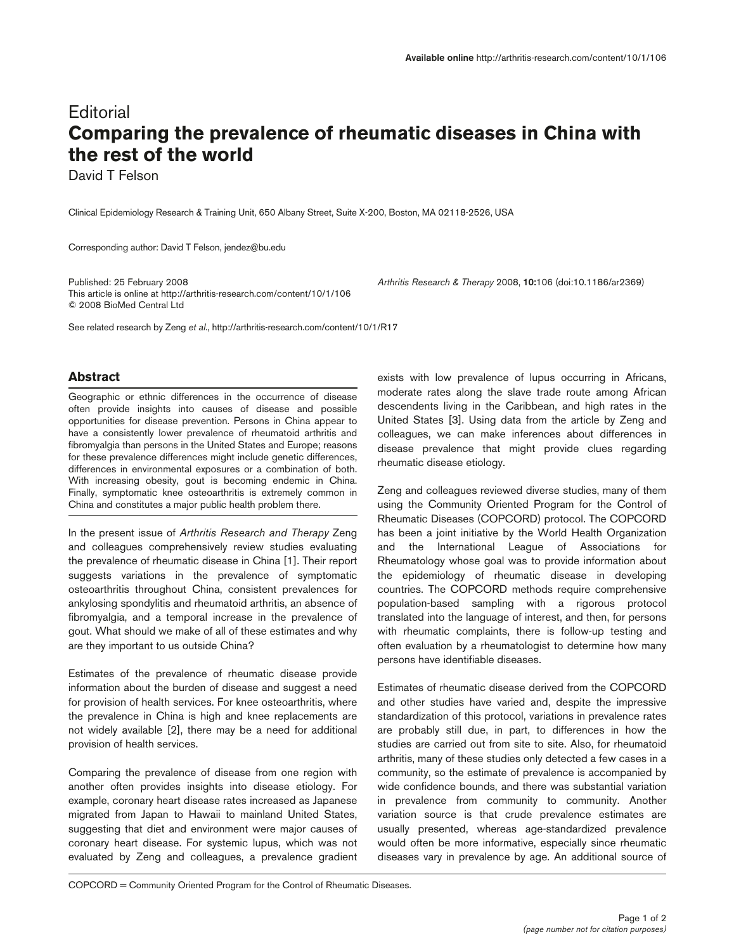# **Editorial Comparing the prevalence of rheumatic diseases in China with the rest of the world**

David T Felson

Clinical Epidemiology Research & Training Unit, 650 Albany Street, Suite X-200, Boston, MA 02118-2526, USA

Corresponding author: David T Felson, jendez@bu.edu

Published: 25 February 2008 *Arthritis Research & Therapy* 2008, **10:**106 (doi:10.1186/ar2369) This article is online at http://arthritis-research.com/content/10/1/106 © 2008 BioMed Central Ltd

See related research by Zeng *et al*., http://arthritis-research.com/content/10/1/R17

## **Abstract**

Geographic or ethnic differences in the occurrence of disease often provide insights into causes of disease and possible opportunities for disease prevention. Persons in China appear to have a consistently lower prevalence of rheumatoid arthritis and fibromyalgia than persons in the United States and Europe; reasons for these prevalence differences might include genetic differences, differences in environmental exposures or a combination of both. With increasing obesity, gout is becoming endemic in China. Finally, symptomatic knee osteoarthritis is extremely common in China and constitutes a major public health problem there.

In the present issue of *Arthritis Research and Therapy* Zeng and colleagues comprehensively review studies evaluating the prevalence of rheumatic disease in China [1]. Their report suggests variations in the prevalence of symptomatic osteoarthritis throughout China, consistent prevalences for ankylosing spondylitis and rheumatoid arthritis, an absence of fibromyalgia, and a temporal increase in the prevalence of gout. What should we make of all of these estimates and why are they important to us outside China?

Estimates of the prevalence of rheumatic disease provide information about the burden of disease and suggest a need for provision of health services. For knee osteoarthritis, where the prevalence in China is high and knee replacements are not widely available [2], there may be a need for additional provision of health services.

Comparing the prevalence of disease from one region with another often provides insights into disease etiology. For example, coronary heart disease rates increased as Japanese migrated from Japan to Hawaii to mainland United States, suggesting that diet and environment were major causes of coronary heart disease. For systemic lupus, which was not evaluated by Zeng and colleagues, a prevalence gradient

exists with low prevalence of lupus occurring in Africans, moderate rates along the slave trade route among African descendents living in the Caribbean, and high rates in the United States [3]. Using data from the article by Zeng and colleagues, we can make inferences about differences in disease prevalence that might provide clues regarding rheumatic disease etiology.

Zeng and colleagues reviewed diverse studies, many of them using the Community Oriented Program for the Control of Rheumatic Diseases (COPCORD) protocol. The COPCORD has been a joint initiative by the World Health Organization and the International League of Associations for Rheumatology whose goal was to provide information about the epidemiology of rheumatic disease in developing countries. The COPCORD methods require comprehensive population-based sampling with a rigorous protocol translated into the language of interest, and then, for persons with rheumatic complaints, there is follow-up testing and often evaluation by a rheumatologist to determine how many persons have identifiable diseases.

Estimates of rheumatic disease derived from the COPCORD and other studies have varied and, despite the impressive standardization of this protocol, variations in prevalence rates are probably still due, in part, to differences in how the studies are carried out from site to site. Also, for rheumatoid arthritis, many of these studies only detected a few cases in a community, so the estimate of prevalence is accompanied by wide confidence bounds, and there was substantial variation in prevalence from community to community. Another variation source is that crude prevalence estimates are usually presented, whereas age-standardized prevalence would often be more informative, especially since rheumatic diseases vary in prevalence by age. An additional source of

COPCORD = Community Oriented Program for the Control of Rheumatic Diseases.